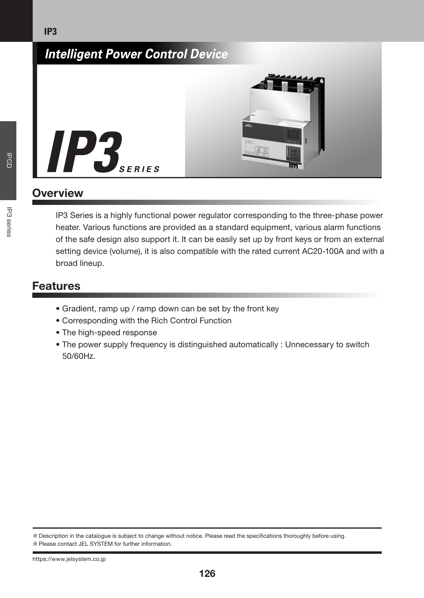

# **Overview**

IP<sub>3</sub>

IP3 Series is a highly functional power regulator corresponding to the three-phase power heater. Various functions are provided as a standard equipment, various alarm functions of the safe design also support it. It can be easily set up by front keys or from an external setting device (volume), it is also compatible with the rated current AC20-100A and with a broad lineup.

# Features

- Gradient, ramp up / ramp down can be set by the front key
- Corresponding with the Rich Control Function
- The high-speed response
- The power supply frequency is distinguished automatically : Unnecessary to switch 50/60Hz.

IP3 series IPCD

**IP3** series

**DOD** 

Description in the catalogue is subject to change without notice. Please read the specications thoroughly before using. Please contact JEL SYSTEM for further information.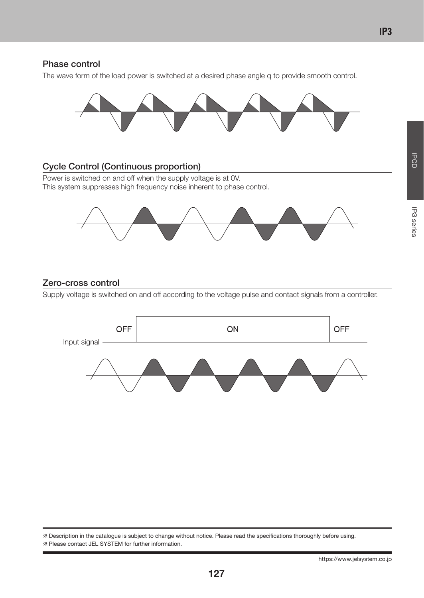### Phase control

The wave form of the load power is switched at a desired phase angle q to provide smooth control.



## Cycle Control (Continuous proportion)

Power is switched on and off when the supply voltage is at 0V. This system suppresses high frequency noise inherent to phase control.



## Zero-cross control

Supply voltage is switched on and off according to the voltage pulse and contact signals from a controller.



**IPCD** 

Description in the catalogue is subject to change without notice. Please read the specications thoroughly before using. Please contact JEL SYSTEM for further information.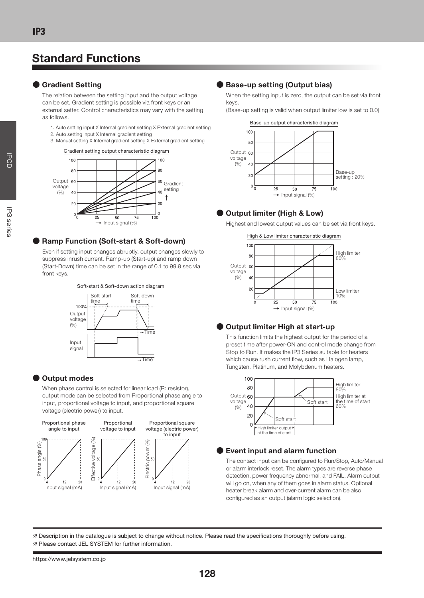# Standard Functions

#### **●** Gradient Setting

The relation between the setting input and the output voltage can be set. Gradient setting is possible via front keys or an external setter. Control characteristics may vary with the setting as follows.

- 1. Auto setting input X Internal gradient setting X External gradient setting
- 2. Auto setting input X Internal gradient setting
- 3. Manual setting X Internal gradient setting X External gradient setting

Gradient setting output characteristic diagram



#### **●** Ramp Function (Soft-start & Soft-down)

Even if setting input changes abruptly, output changes slowly to suppress inrush current. Ramp-up (Start-up) and ramp down (Start-Down) time can be set in the range of 0.1 to 99.9 sec via front keys.



#### **●** Output modes

When phase control is selected for linear load (R: resistor), output mode can be selected from Proportional phase angle to input, proportional voltage to input, and proportional square voltage (electric power) to input.



#### **●** Base-up setting (Output bias)

When the setting input is zero, the output can be set via front keys.

(Base-up setting is valid when output limiter low is set to 0.0)



#### **●** Output limiter (High & Low)



Highest and lowest output values can be set via front keys.

#### **●** Output limiter High at start-up

This function limits the highest output for the period of a preset time after power-ON and control mode change from Stop to Run. It makes the IP3 Series suitable for heaters which cause rush current flow, such as Halogen lamp, Tungsten, Platinum, and Molybdenum heaters.



#### **●** Event input and alarm function

The contact input can be configured to Run/Stop, Auto/Manual or alarm interlock reset. The alarm types are reverse phase detection, power frequency abnormal, and FAIL. Alarm output will go on, when any of them goes in alarm status. Optional heater break alarm and over-current alarm can be also configured as an output (alarm logic selection).

Description in the catalogue is subject to change without notice. Please read the specications thoroughly before using.

Please contact JEL SYSTEM for further information.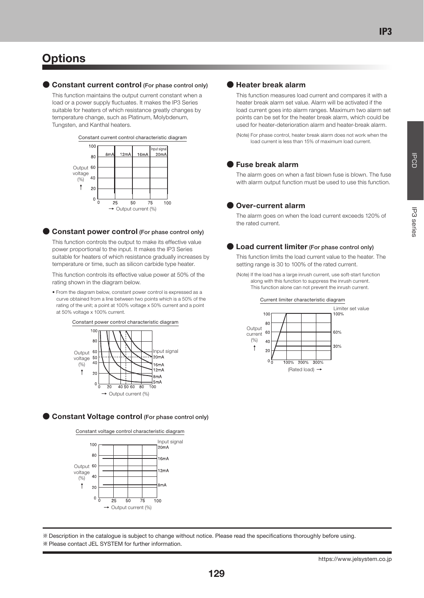# IP3 series IPCD **P3** series

**IPCD** 

# **Options**

#### **●** Constant current control (For phase control only)

This function maintains the output current constant when a load or a power supply fluctuates. It makes the IP3 Series suitable for heaters of which resistance greatly changes by temperature change, such as Platinum, Molybdenum, Tungsten, and Kanthal heaters.





#### **●** Constant power control (For phase control only)

This function controls the output to make its effective value power proportional to the input. It makes the IP3 Series suitable for heaters of which resistance gradually increases by temperature or time, such as silicon carbide type heater.

This function controls its effective value power at 50% of the rating shown in the diagram below.

• From the diagram below, constant power control is expressed as a curve obtained from a line between two points which is a 50% of the rating of the unit; a point at 100% voltage x 50% current and a point at 50% voltage x 100% current.



**●** Constant Voltage control (For phase control only)





#### **●** Heater break alarm

This function measures load current and compares it with a heater break alarm set value. Alarm will be activated if the load current goes into alarm ranges. Maximum two alarm set points can be set for the heater break alarm, which could be used for heater-deterioration alarm and heater-break alarm.

(Note) For phase control, heater break alarm does not work when the load current is less than 15% of maximum load current.

#### **●** Fuse break alarm

The alarm goes on when a fast blown fuse is blown. The fuse with alarm output function must be used to use this function.

#### **●** Over-current alarm

The alarm goes on when the load current exceeds 120% of the rated current.

#### ● Load current limiter (For phase control only)

This function limits the load current value to the heater. The setting range is 30 to 100% of the rated current.

(Note) If the load has a large inrush current, use soft-start function along with this function to suppress the inrush current. This function alone can not prevent the inrush current.



Description in the catalogue is subject to change without notice. Please read the specications thoroughly before using.

#### Please contact JEL SYSTEM for further information.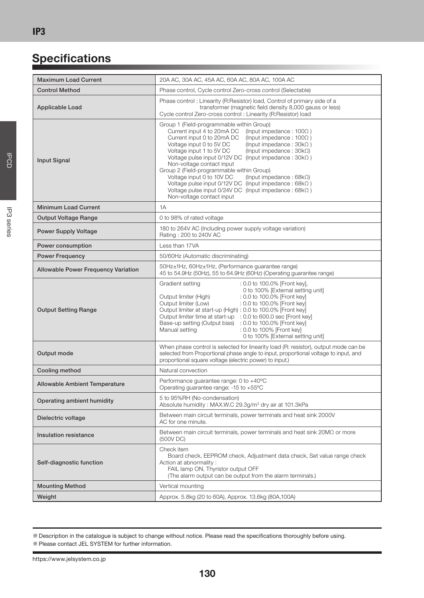# **Specifications**

| <b>Maximum Load Current</b>                | 20A AC, 30A AC, 45A AC, 60A AC, 80A AC, 100A AC                                                                                                                                                                                                                                                                                                                                                                                                                                                                                                                                                                                                                                         |  |  |  |
|--------------------------------------------|-----------------------------------------------------------------------------------------------------------------------------------------------------------------------------------------------------------------------------------------------------------------------------------------------------------------------------------------------------------------------------------------------------------------------------------------------------------------------------------------------------------------------------------------------------------------------------------------------------------------------------------------------------------------------------------------|--|--|--|
| <b>Control Method</b>                      | Phase control, Cycle control Zero-cross control (Selectable)                                                                                                                                                                                                                                                                                                                                                                                                                                                                                                                                                                                                                            |  |  |  |
|                                            | Phase control: Linearity (R:Resistor) load, Control of primary side of a                                                                                                                                                                                                                                                                                                                                                                                                                                                                                                                                                                                                                |  |  |  |
| Applicable Load                            | transformer (magnetic field density 8,000 gauss or less)<br>Cycle control Zero-cross control: Linearity (R:Resistor) load                                                                                                                                                                                                                                                                                                                                                                                                                                                                                                                                                               |  |  |  |
| Input Signal                               | Group 1 (Field-programmable within Group)<br>Current input 4 to 20mA DC<br>(Input impedance: $100\Omega$ )<br>Current input 0 to 20mA DC<br>(Input impedance: $100\Omega$ )<br>Voltage input 0 to 5V DC<br>(Input impedance: $30k\Omega$ )<br>Voltage input 1 to 5V DC<br>(Input impedance: $30k\Omega$ )<br>Voltage pulse input $0/12V$ DC (Input impedance : $30k\Omega$ )<br>Non-voltage contact input<br>Group 2 (Field-programmable within Group)<br>Voltage input 0 to 10V DC<br>(Input impedance: $68k\Omega$ )<br>Voltage pulse input $0/12V$ DC (Input impedance: $68k\Omega$ )<br>Voltage pulse input $0/24V$ DC (Input impedance: $68k\Omega$ )<br>Non-voltage contact input |  |  |  |
| <b>Minimum Load Current</b>                | 1A                                                                                                                                                                                                                                                                                                                                                                                                                                                                                                                                                                                                                                                                                      |  |  |  |
| Output Voltage Range                       | 0 to 98% of rated voltage                                                                                                                                                                                                                                                                                                                                                                                                                                                                                                                                                                                                                                                               |  |  |  |
| <b>Power Supply Voltage</b>                | 180 to 264V AC (Including power supply voltage variation)<br>Rating: 200 to 240V AC                                                                                                                                                                                                                                                                                                                                                                                                                                                                                                                                                                                                     |  |  |  |
| Power consumption                          | Less than 17VA                                                                                                                                                                                                                                                                                                                                                                                                                                                                                                                                                                                                                                                                          |  |  |  |
| <b>Power Frequency</b>                     | 50/60Hz (Automatic discriminating)                                                                                                                                                                                                                                                                                                                                                                                                                                                                                                                                                                                                                                                      |  |  |  |
| <b>Allowable Power Frequency Variation</b> | 50Hz±1Hz, 60Hz±1Hz, (Performance quarantee range)<br>45 to 54.9Hz (50Hz), 55 to 64.9Hz (60Hz) (Operating quarantee range)                                                                                                                                                                                                                                                                                                                                                                                                                                                                                                                                                               |  |  |  |
| <b>Output Setting Range</b>                | Gradient setting<br>: 0.0 to 100.0% [Front kev].<br>0 to 100% [External setting unit]<br>Output limiter (High)<br>: 0.0 to 100.0% [Front key]<br>Output limiter (Low)<br>: 0.0 to 100.0% [Front key]<br>Output limiter at start-up (High) : 0.0 to 100.0% [Front key]<br>Output limiter time at start-up : 0.0 to 600.0 sec [Front key]<br>Base-up setting (Output bias) : 0.0 to 100.0% [Front key]<br>Manual setting<br>: 0.0 to 100% [Front key]<br>0 to 100% [External setting unit]                                                                                                                                                                                                |  |  |  |
| Output mode                                | When phase control is selected for linearity load (R: resistor), output mode can be<br>selected from Proportional phase angle to input, proportional voltage to input, and<br>proportional square voltage (electric power) to input.)                                                                                                                                                                                                                                                                                                                                                                                                                                                   |  |  |  |
| Cooling method                             | Natural convection                                                                                                                                                                                                                                                                                                                                                                                                                                                                                                                                                                                                                                                                      |  |  |  |
| <b>Allowable Ambient Temperature</b>       | Performance guarantee range: 0 to +40°C<br>Operating guarantee range: -15 to +55°C                                                                                                                                                                                                                                                                                                                                                                                                                                                                                                                                                                                                      |  |  |  |
| Operating ambient humidity                 | 5 to 95%RH (No-condensation)<br>Absolute humidity: MAX.W.C 29.3q/m <sup>3</sup> dry air at 101.3kPa                                                                                                                                                                                                                                                                                                                                                                                                                                                                                                                                                                                     |  |  |  |
| Dielectric voltage                         | Between main circuit terminals, power terminals and heat sink 2000V<br>AC for one minute.                                                                                                                                                                                                                                                                                                                                                                                                                                                                                                                                                                                               |  |  |  |
| Insulation resistance                      | Between main circuit terminals, power terminals and heat sink $20M\Omega$ or more<br>(500V DC)                                                                                                                                                                                                                                                                                                                                                                                                                                                                                                                                                                                          |  |  |  |
| Self-diagnostic function                   | Check item<br>Board check, EEPROM check, Adjustment data check, Set value range check<br>Action at abnormality:<br>FAIL lamp ON, Thyristor output OFF<br>(The alarm output can be output from the alarm terminals.)                                                                                                                                                                                                                                                                                                                                                                                                                                                                     |  |  |  |
| <b>Mounting Method</b>                     | Vertical mounting                                                                                                                                                                                                                                                                                                                                                                                                                                                                                                                                                                                                                                                                       |  |  |  |
| Weight                                     | Approx. 5.8kg (20 to 60A), Approx. 13.6kg (80A,100A)                                                                                                                                                                                                                                                                                                                                                                                                                                                                                                                                                                                                                                    |  |  |  |

Description in the catalogue is subject to change without notice. Please read the specications thoroughly before using.

IP3 series IPCD

**P3** series

**IPCD** 

130

Please contact JEL SYSTEM for further information.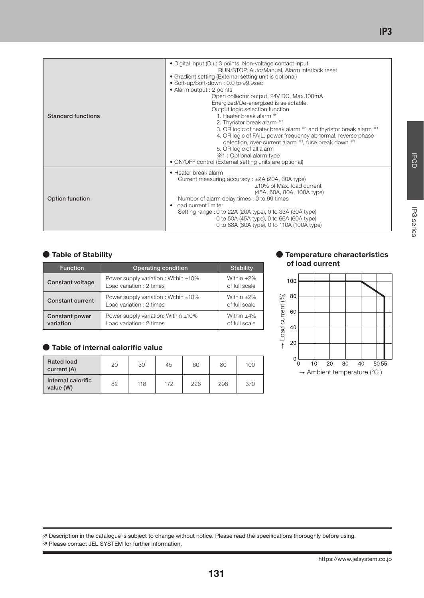| <b>Standard functions</b> | • Digital input (DI) : 3 points, Non-voltage contact input<br>RUN/STOP, Auto/Manual, Alarm interlock reset<br>• Gradient setting (External setting unit is optional)<br>· Soft-up/Soft-down: 0.0 to 99.9sec<br>• Alarm output : 2 points<br>Open collector output, 24V DC, Max.100mA<br>Energized/De-energized is selectable.<br>Output logic selection function<br>1. Heater break alarm **1<br>2. Thyristor break alarm **1<br>3. OR logic of heater break alarm **1 and thyristor break alarm **1<br>4. OR logic of FAIL, power frequency abnormal, reverse phase<br>detection, over-current alarm *1, fuse break down *1<br>5. OR logic of all alarm<br>※1 : Optional alarm type<br>• ON/OFF control (External setting units are optional) |
|---------------------------|------------------------------------------------------------------------------------------------------------------------------------------------------------------------------------------------------------------------------------------------------------------------------------------------------------------------------------------------------------------------------------------------------------------------------------------------------------------------------------------------------------------------------------------------------------------------------------------------------------------------------------------------------------------------------------------------------------------------------------------------|
| Option function           | • Heater break alarm<br>Current measuring accuracy: $\pm$ 2A (20A, 30A type)<br>$±10\%$ of Max. load current<br>(45A, 60A, 80A, 100A type)<br>Number of alarm delay times : 0 to 99 times<br>• Load current limiter<br>Setting range: 0 to 22A (20A type), 0 to 33A (30A type)<br>0 to 50A (45A type), 0 to 66A (60A type)<br>0 to 88A (80A type), 0 to 110A (100A type)                                                                                                                                                                                                                                                                                                                                                                       |

| <b>Function</b>                    | Operating condition                                                   | <b>Stability</b>               |
|------------------------------------|-----------------------------------------------------------------------|--------------------------------|
| <b>Constant voltage</b>            | Power supply variation: Within $\pm 10\%$<br>Load variation: 2 times  | Within $+2\%$<br>of full scale |
| <b>Constant current</b>            | Power supply variation: Within $\pm 10\%$<br>Load variation : 2 times | Within $+2\%$<br>of full scale |
| <b>Constant power</b><br>variation | Power supply variation: Within $\pm 10\%$<br>Load variation: 2 times  | Within $+4\%$<br>of full scale |

#### **●** Table of internal calorific value

| <b>Rated load</b><br>current (A) | 20 | 30  | 45  | 60  | 80  | 100 |
|----------------------------------|----|-----|-----|-----|-----|-----|
| Internal calorific<br>value (W)  | 82 | 118 | 172 | 226 | 298 | 370 |

#### ● Table of Stability **●** Temperature characteristics of load current



Description in the catalogue is subject to change without notice. Please read the specications thoroughly before using.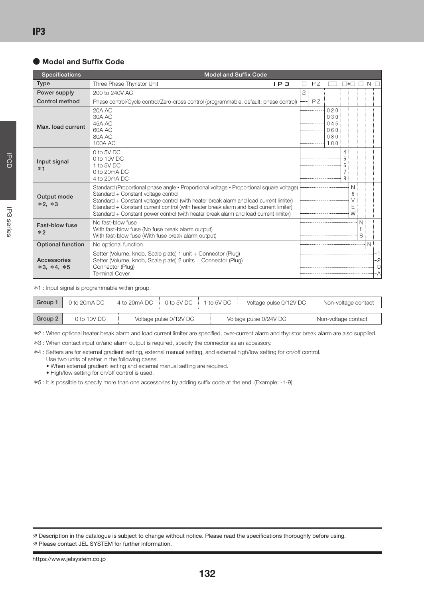#### **●** Model and Suffix Code

| <b>Specifications</b>             | <b>Model and Suffix Code</b>                                                                                                                                                                                                                                                                                                                                                                                |   |    |                                        |                        |                  |              |               |
|-----------------------------------|-------------------------------------------------------------------------------------------------------------------------------------------------------------------------------------------------------------------------------------------------------------------------------------------------------------------------------------------------------------------------------------------------------------|---|----|----------------------------------------|------------------------|------------------|--------------|---------------|
| <b>Type</b>                       | Three Phase Thyristor Unit<br>$IP3 -$                                                                                                                                                                                                                                                                                                                                                                       |   | PZ |                                        | $\left  \cdot \right $ |                  |              |               |
| Power supply                      | 200 to 240V AC                                                                                                                                                                                                                                                                                                                                                                                              | 2 |    |                                        |                        |                  |              |               |
| Control method                    | Phase control/Cycle control/Zero-cross control (programmable, default: phase control)                                                                                                                                                                                                                                                                                                                       |   | PZ |                                        |                        |                  |              |               |
| Max. load current                 | <b>20A AC</b><br>30A AC<br>45A AC<br>60A AC<br>80A AC<br>100A AC                                                                                                                                                                                                                                                                                                                                            |   |    | 020<br>030<br>045<br>060<br>080<br>100 |                        |                  |              |               |
| Input signal<br>$*1$              | 0 to 5V DC<br>0 to 10V DC<br>1 to 5V DC<br>$0$ to $20mA$ DC<br>4 to 20mA DC                                                                                                                                                                                                                                                                                                                                 |   |    |                                        | Δ<br>8                 |                  |              |               |
| Output mode<br>$*2, *3$           | Standard (Proportional phase angle • Proportional voltage • Proportional square voltage)<br>Standard + Constant voltage control<br>Standard + Constant voltage control (with heater break alarm and load current limiter)<br>Standard + Constant current control (with heater break alarm and load current limiter)<br>Standard + Constant power control (with heater break alarm and load current limiter) |   |    |                                        |                        | N<br>6<br>E<br>W |              |               |
| Fast-blow fuse<br>$*2$            | No fast-blow fuse<br>With fast-blow fuse (No fuse break alarm output)<br>With fast-blow fuse (With fuse break alarm output)                                                                                                                                                                                                                                                                                 |   |    |                                        |                        |                  | N.<br>F<br>S |               |
| <b>Optional function</b>          | No optional function                                                                                                                                                                                                                                                                                                                                                                                        |   |    |                                        |                        |                  | N            |               |
| Accessories<br>$*3$ , $*4$ , $*5$ | Setter (Volume, knob, Scale plate) 1 unit + Connector (Plug)<br>Setter (Volume, knob, Scale plate) 2 units + Connector (Plug)<br>Connector (Plug)<br><b>Terminal Cover</b>                                                                                                                                                                                                                                  |   |    |                                        |                        |                  |              | 2<br>-9<br>۰A |

\*1 : Input signal is programmable within group.

| Group   | 0 to 20mA DC  | 4 to 20mA DC 0 to 5V DC 1 to 5V DC |  | Voltage pulse 0/12V DC | Non-voltage contact |
|---------|---------------|------------------------------------|--|------------------------|---------------------|
|         |               |                                    |  |                        |                     |
| Group 2 | $0$ to 10V DC | Voltage pulse 0/12V DC             |  | Voltage pulse 0/24V DC | Non-voltage contact |

\*2 : When optional heater break alarm and load current limiter are specified, over-current alarm and thyristor break alarm are also supplied.

\*3 : When contact input or/and alarm output is required, specify the connector as an accessory.

\*4 : Setters are for external gradient setting, external manual setting, and external high/low setting for on/off control.

Use two units of setter in the following cases;

• When external gradient setting and external manual setting are required.

• High/low setting for on/off control is used.

\*5 : It is possible to specify more than one accessories by adding suffix code at the end. (Example: -1-9)

**P3** series

Description in the catalogue is subject to change without notice. Please read the specifications thoroughly before using.

Please contact JEL SYSTEM for further information.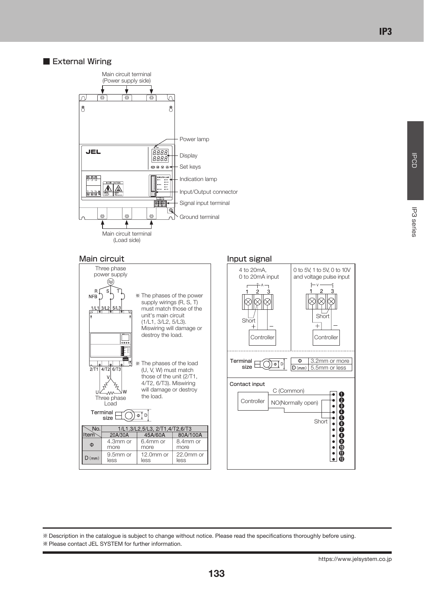#### ■ External Wiring



#### Main circuit **Input signal**





Description in the catalogue is subject to change without notice. Please read the specications thoroughly before using. Please contact JEL SYSTEM for further information.

**PCD**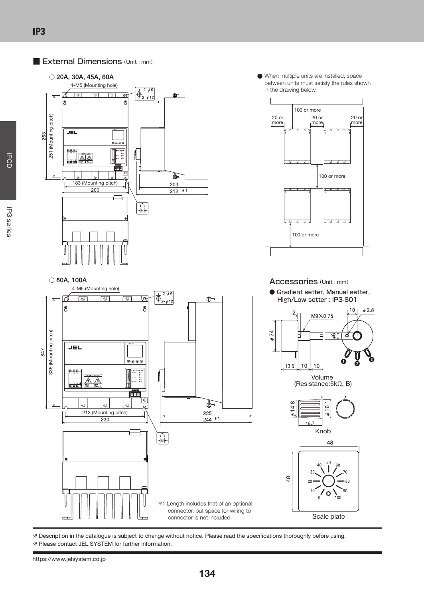#### ■ External Dimensions (Unit : mm)



When multiple units are installed, space between units must satisfy the rules shown in the drawing below.





Description in the catalogue is subject to change without notice. Please read the specifications thoroughly before using. Please contact JEL SYSTEM for further information.

**IPCD**